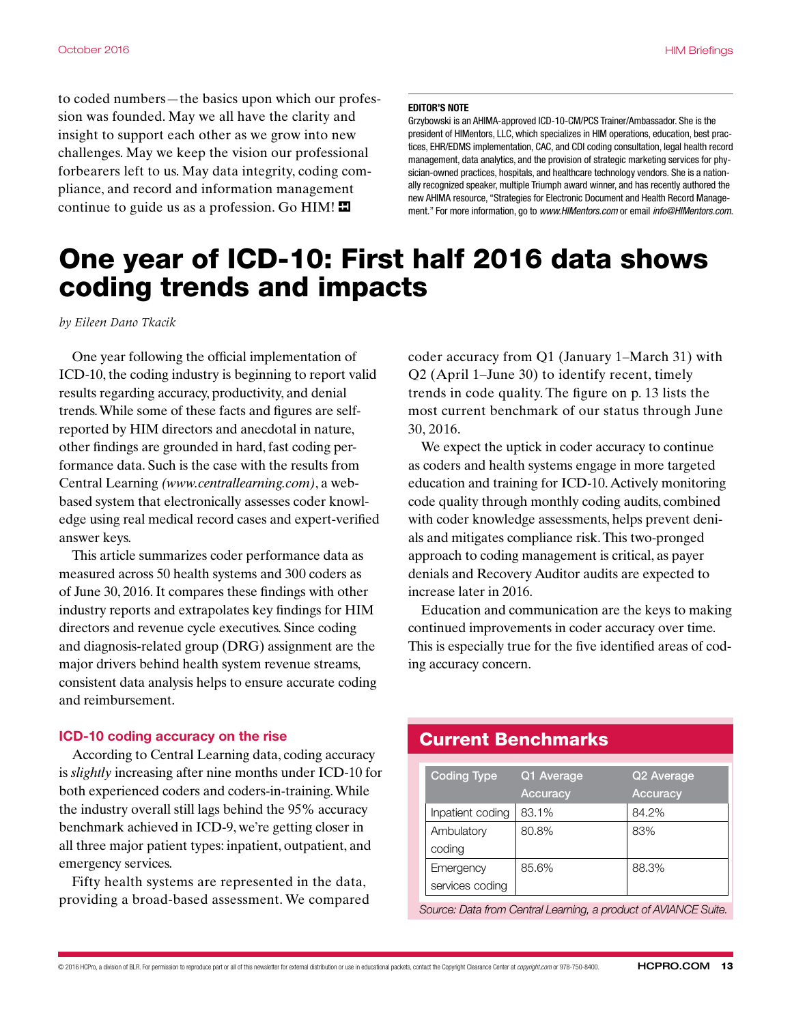to coded numbers—the basics upon which our profession was founded. May we all have the clarity and insight to support each other as we grow into new challenges. May we keep the vision our professional forbearers left to us. May data integrity, coding compliance, and record and information management continue to guide us as a profession. Go  $HIM!$ 

#### EDITOR'S NOTE

Grzybowski is an AHIMA-approved ICD-10-CM/PCS Trainer/Ambassador. She is the president of HIMentors, LLC, which specializes in HIM operations, education, best practices, EHR/EDMS implementation, CAC, and CDI coding consultation, legal health record management, data analytics, and the provision of strategic marketing services for physician-owned practices, hospitals, and healthcare technology vendors. She is a nationally recognized speaker, multiple Triumph award winner, and has recently authored the new AHIMA resource, "Strategies for Electronic Document and Health Record Management." For more information, go to *www.HIMentors.com* or email *info@HIMentors.com*.

# One year of ICD-10: First half 2016 data shows coding trends and impacts

*by Eileen Dano Tkacik*

One year following the official implementation of ICD-10, the coding industry is beginning to report valid results regarding accuracy, productivity, and denial trends. While some of these facts and fgures are selfreported by HIM directors and anecdotal in nature, other fndings are grounded in hard, fast coding performance data. Such is the case with the results from Central Learning *(www.centrallearning.com)*, a webbased system that electronically assesses coder knowledge using real medical record cases and expert-verifed answer keys.

This article summarizes coder performance data as measured across 50 health systems and 300 coders as of June 30, 2016. It compares these fndings with other industry reports and extrapolates key fndings for HIM directors and revenue cycle executives. Since coding and diagnosis-related group (DRG) assignment are the major drivers behind health system revenue streams, consistent data analysis helps to ensure accurate coding and reimbursement.

#### ICD-10 coding accuracy on the rise

According to Central Learning data, coding accuracy is *slightly* increasing after nine months under ICD-10 for both experienced coders and coders-in-training. While the industry overall still lags behind the 95% accuracy benchmark achieved in ICD-9, we're getting closer in all three major patient types: inpatient, outpatient, and emergency services.

Fifty health systems are represented in the data, providing a broad-based assessment. We compared coder accuracy from Q1 (January 1–March 31) with Q2 (April 1–June 30) to identify recent, timely trends in code quality. The fgure on p. 13 lists the most current benchmark of our status through June 30, 2016.

We expect the uptick in coder accuracy to continue as coders and health systems engage in more targeted education and training for ICD-10. Actively monitoring code quality through monthly coding audits, combined with coder knowledge assessments, helps prevent denials and mitigates compliance risk. This two-pronged approach to coding management is critical, as payer denials and Recovery Auditor audits are expected to increase later in 2016.

Education and communication are the keys to making continued improvements in coder accuracy over time. This is especially true for the fve identifed areas of coding accuracy concern.

### Current Benchmarks

| <b>Coding Type</b> | Q1 Average      | Q2 Average      |
|--------------------|-----------------|-----------------|
|                    | <b>Accuracy</b> | <b>Accuracy</b> |
| Inpatient coding   | 83.1%           | 84.2%           |
| Ambulatory         | 80.8%           | 83%             |
| coding             |                 |                 |
| Emergency          | 85.6%           | 88.3%           |
| services coding    |                 |                 |

*Source: Data from Central Learning, a product of AVIANCE Suite.*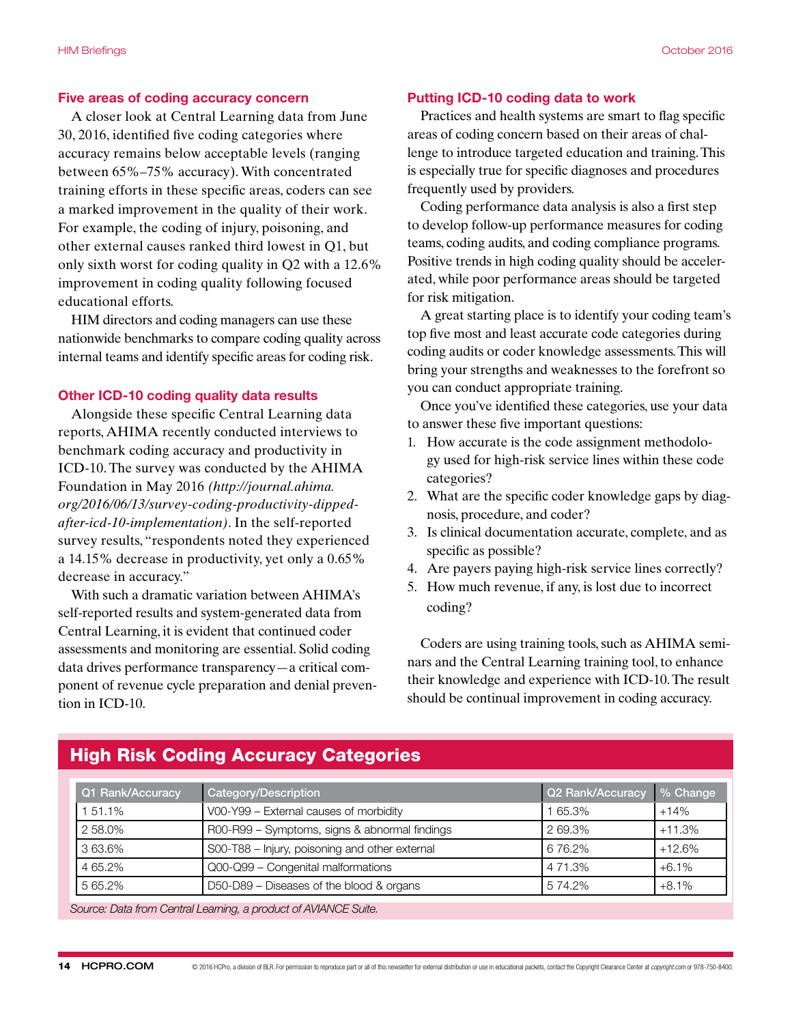#### Five areas of coding accuracy concern

A closer look at Central Learning data from June 30, 2016, identifed fve coding categories where accuracy remains below acceptable levels (ranging between 65%–75% accuracy). With concentrated training efforts in these specifc areas, coders can see a marked improvement in the quality of their work. For example, the coding of injury, poisoning, and other external causes ranked third lowest in Q1, but only sixth worst for coding quality in Q2 with a 12.6% improvement in coding quality following focused educational efforts.

HIM directors and coding managers can use these nationwide benchmarks to compare coding quality across internal teams and identify specifc areas for coding risk.

#### Other ICD-10 coding quality data results

Alongside these specifc Central Learning data reports, AHIMA recently conducted interviews to benchmark coding accuracy and productivity in ICD-10. The survey was conducted by the AHIMA Foundation in May 2016 *(http://journal.ahima. org/2016/06/13/survey-coding-productivity-dippedafter-icd-10-implementation)*. In the self-reported survey results, "respondents noted they experienced a 14.15% decrease in productivity, yet only a 0.65% decrease in accuracy."

With such a dramatic variation between AHIMA's self-reported results and system-generated data from Central Learning, it is evident that continued coder assessments and monitoring are essential. Solid coding data drives performance transparency—a critical component of revenue cycle preparation and denial prevention in ICD-10.

#### Putting ICD-10 coding data to work

Practices and health systems are smart to flag specific areas of coding concern based on their areas of challenge to introduce targeted education and training. This is especially true for specifc diagnoses and procedures frequently used by providers.

Coding performance data analysis is also a frst step to develop follow-up performance measures for coding teams, coding audits, and coding compliance programs. Positive trends in high coding quality should be accelerated, while poor performance areas should be targeted for risk mitigation.

A great starting place is to identify your coding team's top fve most and least accurate code categories during coding audits or coder knowledge assessments. This will bring your strengths and weaknesses to the forefront so you can conduct appropriate training.

Once you've identifed these categories, use your data to answer these fve important questions:

- 1. How accurate is the code assignment methodology used for high-risk service lines within these code categories?
- 2. What are the specifc coder knowledge gaps by diagnosis, procedure, and coder?
- 3. Is clinical documentation accurate, complete, and as specific as possible?
- 4. Are payers paying high-risk service lines correctly?
- 5. How much revenue, if any, is lost due to incorrect coding?

Coders are using training tools, such as AHIMA seminars and the Central Learning training tool, to enhance their knowledge and experience with ICD-10. The result should be continual improvement in coding accuracy.

| Q1 Rank/Accuracy                                                | Category/Description                           | Q2 Rank/Accuracy | % Change |  |
|-----------------------------------------------------------------|------------------------------------------------|------------------|----------|--|
| 51.1%                                                           | V00-Y99 - External causes of morbidity         | 65.3%            | $+14%$   |  |
| 2 58.0%                                                         | R00-R99 - Symptoms, signs & abnormal findings  | 269.3%           | $+11.3%$ |  |
| 363.6%                                                          | S00-T88 - Injury, poisoning and other external | 676.2%           | $+12.6%$ |  |
| 4 65.2%                                                         | Q00-Q99 - Congenital malformations             | 4 71.3%          | $+6.1%$  |  |
| 5 65.2%                                                         | D50-D89 - Diseases of the blood & organs       | 5 74.2%          | $+8.1%$  |  |
| Source: Data from Central Learning, a product of AVIANCE Suite. |                                                |                  |          |  |

## High Risk Coding Accuracy Categories